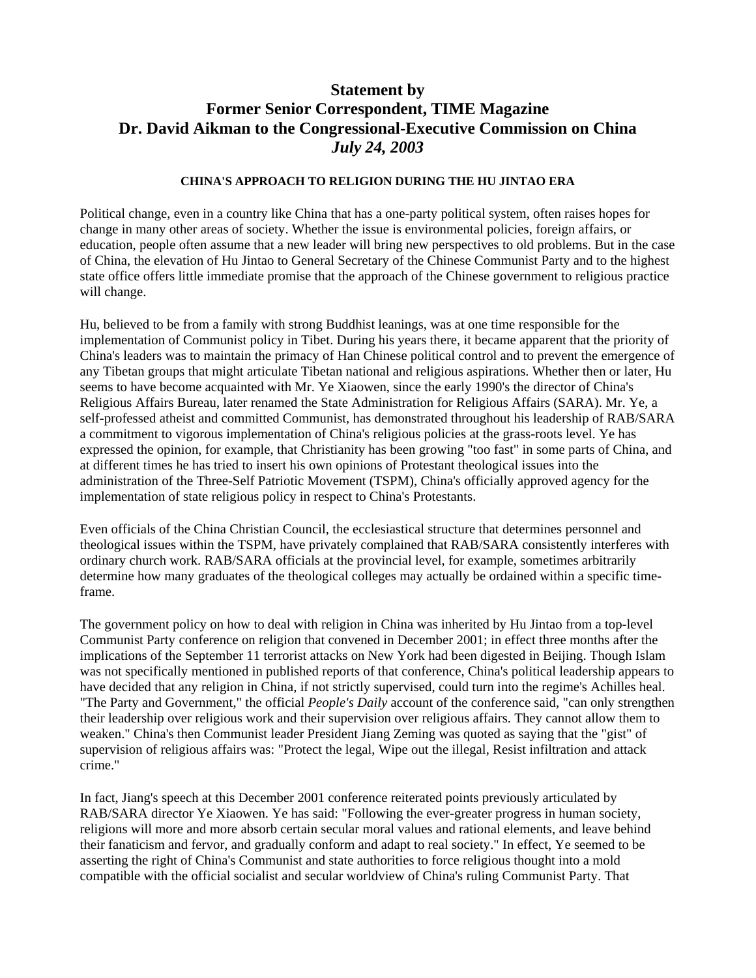## **Statement by Former Senior Correspondent, TIME Magazine Dr. David Aikman to the Congressional-Executive Commission on China**  *July 24, 2003*

## **CHINA'S APPROACH TO RELIGION DURING THE HU JINTAO ERA**

Political change, even in a country like China that has a one-party political system, often raises hopes for change in many other areas of society. Whether the issue is environmental policies, foreign affairs, or education, people often assume that a new leader will bring new perspectives to old problems. But in the case of China, the elevation of Hu Jintao to General Secretary of the Chinese Communist Party and to the highest state office offers little immediate promise that the approach of the Chinese government to religious practice will change.

Hu, believed to be from a family with strong Buddhist leanings, was at one time responsible for the implementation of Communist policy in Tibet. During his years there, it became apparent that the priority of China's leaders was to maintain the primacy of Han Chinese political control and to prevent the emergence of any Tibetan groups that might articulate Tibetan national and religious aspirations. Whether then or later, Hu seems to have become acquainted with Mr. Ye Xiaowen, since the early 1990's the director of China's Religious Affairs Bureau, later renamed the State Administration for Religious Affairs (SARA). Mr. Ye, a self-professed atheist and committed Communist, has demonstrated throughout his leadership of RAB/SARA a commitment to vigorous implementation of China's religious policies at the grass-roots level. Ye has expressed the opinion, for example, that Christianity has been growing "too fast" in some parts of China, and at different times he has tried to insert his own opinions of Protestant theological issues into the administration of the Three-Self Patriotic Movement (TSPM), China's officially approved agency for the implementation of state religious policy in respect to China's Protestants.

Even officials of the China Christian Council, the ecclesiastical structure that determines personnel and theological issues within the TSPM, have privately complained that RAB/SARA consistently interferes with ordinary church work. RAB/SARA officials at the provincial level, for example, sometimes arbitrarily determine how many graduates of the theological colleges may actually be ordained within a specific timeframe.

The government policy on how to deal with religion in China was inherited by Hu Jintao from a top-level Communist Party conference on religion that convened in December 2001; in effect three months after the implications of the September 11 terrorist attacks on New York had been digested in Beijing. Though Islam was not specifically mentioned in published reports of that conference, China's political leadership appears to have decided that any religion in China, if not strictly supervised, could turn into the regime's Achilles heal. "The Party and Government," the official *People's Daily* account of the conference said, "can only strengthen their leadership over religious work and their supervision over religious affairs. They cannot allow them to weaken." China's then Communist leader President Jiang Zeming was quoted as saying that the "gist" of supervision of religious affairs was: "Protect the legal, Wipe out the illegal, Resist infiltration and attack crime."

In fact, Jiang's speech at this December 2001 conference reiterated points previously articulated by RAB/SARA director Ye Xiaowen. Ye has said: "Following the ever-greater progress in human society, religions will more and more absorb certain secular moral values and rational elements, and leave behind their fanaticism and fervor, and gradually conform and adapt to real society." In effect, Ye seemed to be asserting the right of China's Communist and state authorities to force religious thought into a mold compatible with the official socialist and secular worldview of China's ruling Communist Party. That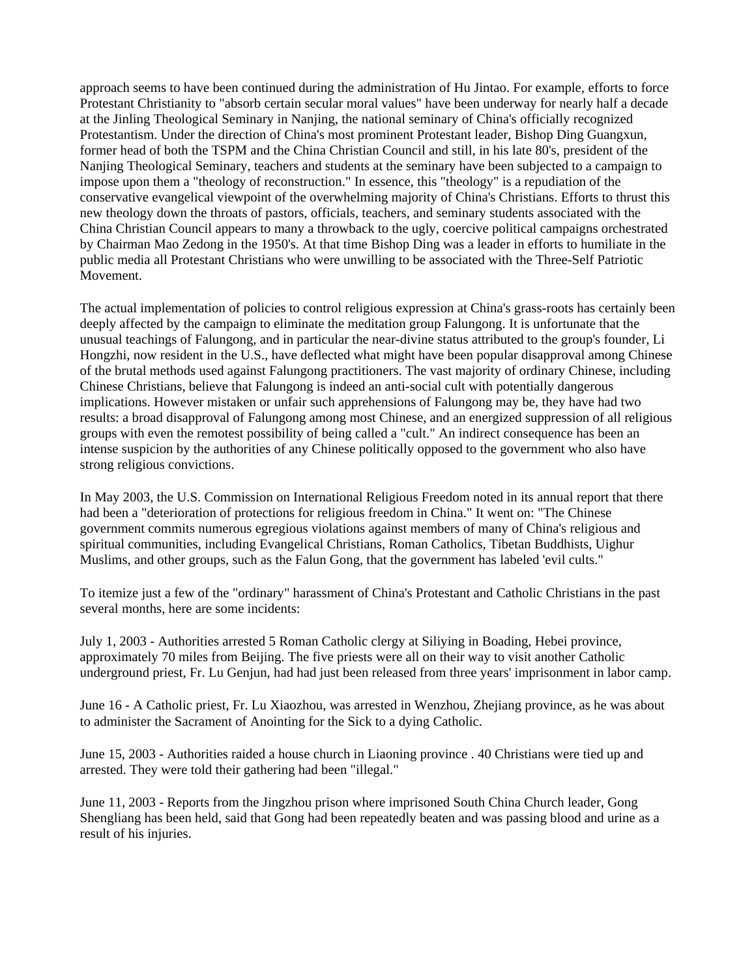approach seems to have been continued during the administration of Hu Jintao. For example, efforts to force Protestant Christianity to "absorb certain secular moral values" have been underway for nearly half a decade at the Jinling Theological Seminary in Nanjing, the national seminary of China's officially recognized Protestantism. Under the direction of China's most prominent Protestant leader, Bishop Ding Guangxun, former head of both the TSPM and the China Christian Council and still, in his late 80's, president of the Nanjing Theological Seminary, teachers and students at the seminary have been subjected to a campaign to impose upon them a "theology of reconstruction." In essence, this "theology" is a repudiation of the conservative evangelical viewpoint of the overwhelming majority of China's Christians. Efforts to thrust this new theology down the throats of pastors, officials, teachers, and seminary students associated with the China Christian Council appears to many a throwback to the ugly, coercive political campaigns orchestrated by Chairman Mao Zedong in the 1950's. At that time Bishop Ding was a leader in efforts to humiliate in the public media all Protestant Christians who were unwilling to be associated with the Three-Self Patriotic Movement.

The actual implementation of policies to control religious expression at China's grass-roots has certainly been deeply affected by the campaign to eliminate the meditation group Falungong. It is unfortunate that the unusual teachings of Falungong, and in particular the near-divine status attributed to the group's founder, Li Hongzhi, now resident in the U.S., have deflected what might have been popular disapproval among Chinese of the brutal methods used against Falungong practitioners. The vast majority of ordinary Chinese, including Chinese Christians, believe that Falungong is indeed an anti-social cult with potentially dangerous implications. However mistaken or unfair such apprehensions of Falungong may be, they have had two results: a broad disapproval of Falungong among most Chinese, and an energized suppression of all religious groups with even the remotest possibility of being called a "cult." An indirect consequence has been an intense suspicion by the authorities of any Chinese politically opposed to the government who also have strong religious convictions.

In May 2003, the U.S. Commission on International Religious Freedom noted in its annual report that there had been a "deterioration of protections for religious freedom in China." It went on: "The Chinese government commits numerous egregious violations against members of many of China's religious and spiritual communities, including Evangelical Christians, Roman Catholics, Tibetan Buddhists, Uighur Muslims, and other groups, such as the Falun Gong, that the government has labeled 'evil cults."

To itemize just a few of the "ordinary" harassment of China's Protestant and Catholic Christians in the past several months, here are some incidents:

July 1, 2003 - Authorities arrested 5 Roman Catholic clergy at Siliying in Boading, Hebei province, approximately 70 miles from Beijing. The five priests were all on their way to visit another Catholic underground priest, Fr. Lu Genjun, had had just been released from three years' imprisonment in labor camp.

June 16 - A Catholic priest, Fr. Lu Xiaozhou, was arrested in Wenzhou, Zhejiang province, as he was about to administer the Sacrament of Anointing for the Sick to a dying Catholic.

June 15, 2003 - Authorities raided a house church in Liaoning province . 40 Christians were tied up and arrested. They were told their gathering had been "illegal."

June 11, 2003 - Reports from the Jingzhou prison where imprisoned South China Church leader, Gong Shengliang has been held, said that Gong had been repeatedly beaten and was passing blood and urine as a result of his injuries.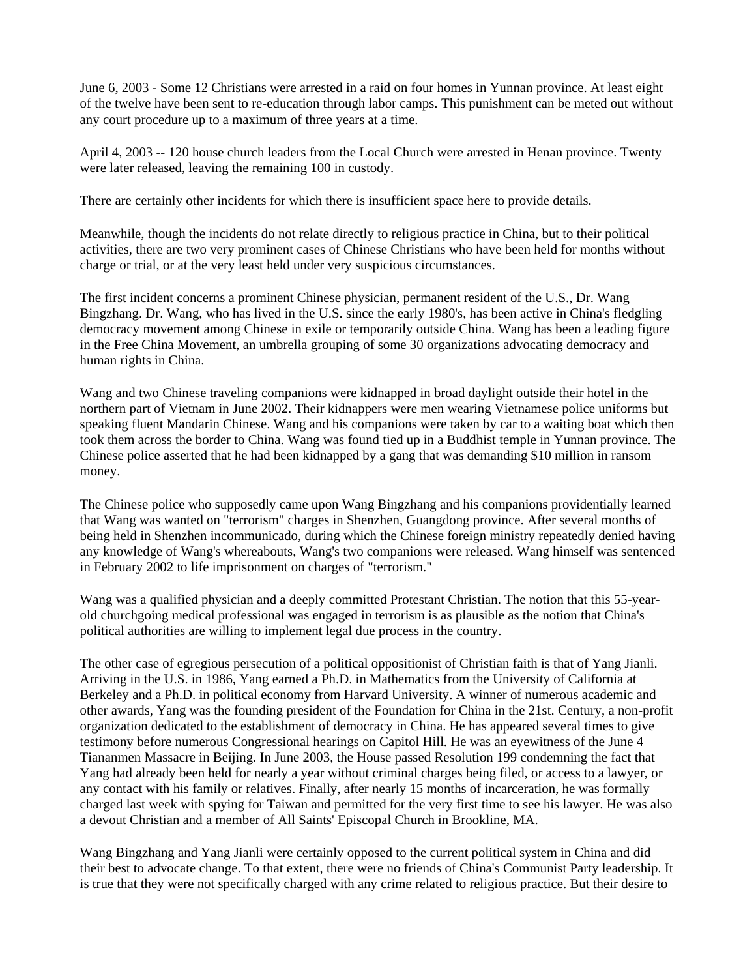June 6, 2003 - Some 12 Christians were arrested in a raid on four homes in Yunnan province. At least eight of the twelve have been sent to re-education through labor camps. This punishment can be meted out without any court procedure up to a maximum of three years at a time.

April 4, 2003 -- 120 house church leaders from the Local Church were arrested in Henan province. Twenty were later released, leaving the remaining 100 in custody.

There are certainly other incidents for which there is insufficient space here to provide details.

Meanwhile, though the incidents do not relate directly to religious practice in China, but to their political activities, there are two very prominent cases of Chinese Christians who have been held for months without charge or trial, or at the very least held under very suspicious circumstances.

The first incident concerns a prominent Chinese physician, permanent resident of the U.S., Dr. Wang Bingzhang. Dr. Wang, who has lived in the U.S. since the early 1980's, has been active in China's fledgling democracy movement among Chinese in exile or temporarily outside China. Wang has been a leading figure in the Free China Movement, an umbrella grouping of some 30 organizations advocating democracy and human rights in China.

Wang and two Chinese traveling companions were kidnapped in broad daylight outside their hotel in the northern part of Vietnam in June 2002. Their kidnappers were men wearing Vietnamese police uniforms but speaking fluent Mandarin Chinese. Wang and his companions were taken by car to a waiting boat which then took them across the border to China. Wang was found tied up in a Buddhist temple in Yunnan province. The Chinese police asserted that he had been kidnapped by a gang that was demanding \$10 million in ransom money.

The Chinese police who supposedly came upon Wang Bingzhang and his companions providentially learned that Wang was wanted on "terrorism" charges in Shenzhen, Guangdong province. After several months of being held in Shenzhen incommunicado, during which the Chinese foreign ministry repeatedly denied having any knowledge of Wang's whereabouts, Wang's two companions were released. Wang himself was sentenced in February 2002 to life imprisonment on charges of "terrorism."

Wang was a qualified physician and a deeply committed Protestant Christian. The notion that this 55-yearold churchgoing medical professional was engaged in terrorism is as plausible as the notion that China's political authorities are willing to implement legal due process in the country.

The other case of egregious persecution of a political oppositionist of Christian faith is that of Yang Jianli. Arriving in the U.S. in 1986, Yang earned a Ph.D. in Mathematics from the University of California at Berkeley and a Ph.D. in political economy from Harvard University. A winner of numerous academic and other awards, Yang was the founding president of the Foundation for China in the 21st. Century, a non-profit organization dedicated to the establishment of democracy in China. He has appeared several times to give testimony before numerous Congressional hearings on Capitol Hill. He was an eyewitness of the June 4 Tiananmen Massacre in Beijing. In June 2003, the House passed Resolution 199 condemning the fact that Yang had already been held for nearly a year without criminal charges being filed, or access to a lawyer, or any contact with his family or relatives. Finally, after nearly 15 months of incarceration, he was formally charged last week with spying for Taiwan and permitted for the very first time to see his lawyer. He was also a devout Christian and a member of All Saints' Episcopal Church in Brookline, MA.

Wang Bingzhang and Yang Jianli were certainly opposed to the current political system in China and did their best to advocate change. To that extent, there were no friends of China's Communist Party leadership. It is true that they were not specifically charged with any crime related to religious practice. But their desire to